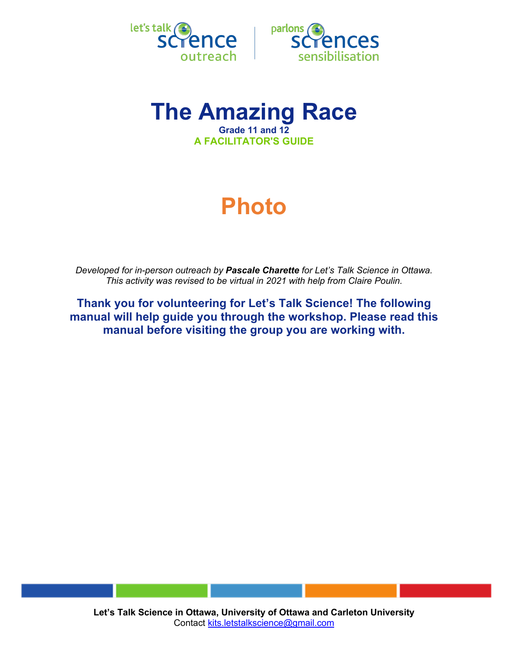



# **The Amazing Race Grade 11 and 12 A FACILITATOR'S GUIDE**

# **Photo**

*Developed for in-person outreach by Pascale Charette for Let's Talk Science in Ottawa. This activity was revised to be virtual in 2021 with help from Claire Poulin.*

**Thank you for volunteering for Let's Talk Science! The following manual will help guide you through the workshop. Please read this manual before visiting the group you are working with.**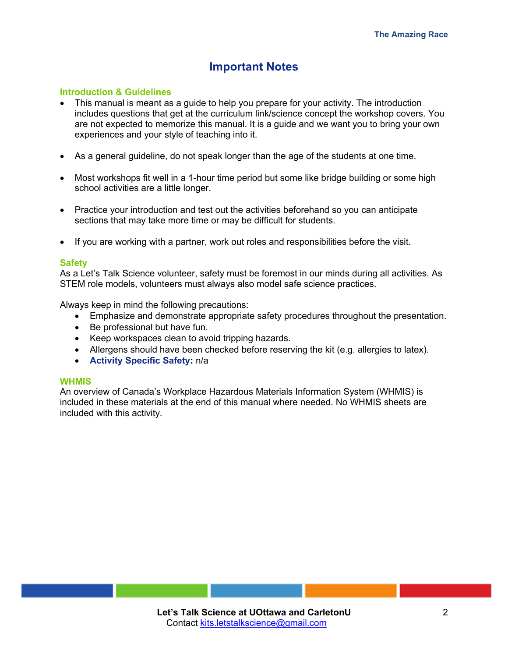# **Important Notes**

# **Introduction & Guidelines**

- This manual is meant as a guide to help you prepare for your activity. The introduction includes questions that get at the curriculum link/science concept the workshop covers. You are not expected to memorize this manual. It is a guide and we want you to bring your own experiences and your style of teaching into it.
- As a general guideline, do not speak longer than the age of the students at one time.
- Most workshops fit well in a 1-hour time period but some like bridge building or some high school activities are a little longer.
- Practice your introduction and test out the activities beforehand so you can anticipate sections that may take more time or may be difficult for students.
- If you are working with a partner, work out roles and responsibilities before the visit.

#### **Safety**

As a Let's Talk Science volunteer, safety must be foremost in our minds during all activities. As STEM role models, volunteers must always also model safe science practices.

Always keep in mind the following precautions:

- Emphasize and demonstrate appropriate safety procedures throughout the presentation.
- Be professional but have fun.
- Keep workspaces clean to avoid tripping hazards.
- Allergens should have been checked before reserving the kit (e.g. allergies to latex).
- **Activity Specific Safety:** n/a

#### **WHMIS**

An overview of Canada's Workplace Hazardous Materials Information System (WHMIS) is included in these materials at the end of this manual where needed. No WHMIS sheets are included with this activity.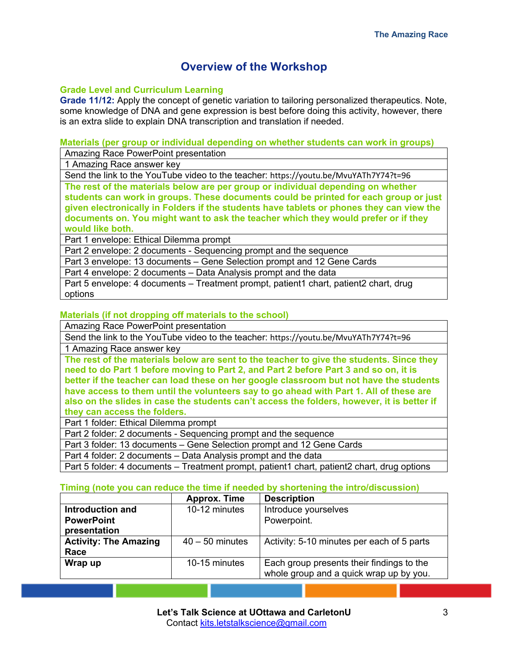# **Overview of the Workshop**

# **Grade Level and Curriculum Learning**

**Grade 11/12:** Apply the concept of genetic variation to tailoring personalized therapeutics. Note, some knowledge of DNA and gene expression is best before doing this activity, however, there is an extra slide to explain DNA transcription and translation if needed.

# **Materials (per group or individual depending on whether students can work in groups)**

Amazing Race PowerPoint presentation

1 Amazing Race answer key

Send the link to the YouTube video to the teacher: https://youtu.be/MvuYATh7Y74?t=96

**The rest of the materials below are per group or individual depending on whether students can work in groups. These documents could be printed for each group or just given electronically in Folders if the students have tablets or phones they can view the documents on. You might want to ask the teacher which they would prefer or if they would like both.** 

Part 1 envelope: Ethical Dilemma prompt

Part 2 envelope: 2 documents - Sequencing prompt and the sequence

Part 3 envelope: 13 documents – Gene Selection prompt and 12 Gene Cards

Part 4 envelope: 2 documents – Data Analysis prompt and the data

Part 5 envelope: 4 documents – Treatment prompt, patient1 chart, patient2 chart, drug options

# **Materials (if not dropping off materials to the school)**

Amazing Race PowerPoint presentation

Send the link to the YouTube video to the teacher: https://youtu.be/MvuYATh7Y74?t=96

1 Amazing Race answer key

**The rest of the materials below are sent to the teacher to give the students. Since they need to do Part 1 before moving to Part 2, and Part 2 before Part 3 and so on, it is better if the teacher can load these on her google classroom but not have the students have access to them until the volunteers say to go ahead with Part 1. All of these are also on the slides in case the students can't access the folders, however, it is better if they can access the folders.**

Part 1 folder: Ethical Dilemma prompt

Part 2 folder: 2 documents - Sequencing prompt and the sequence

Part 3 folder: 13 documents – Gene Selection prompt and 12 Gene Cards

Part 4 folder: 2 documents – Data Analysis prompt and the data

Part 5 folder: 4 documents – Treatment prompt, patient1 chart, patient2 chart, drug options

# **Timing (note you can reduce the time if needed by shortening the intro/discussion)**

|                              | <b>Approx. Time</b> | <b>Description</b>                         |
|------------------------------|---------------------|--------------------------------------------|
| Introduction and             | 10-12 minutes       | Introduce yourselves                       |
| <b>PowerPoint</b>            |                     | Powerpoint.                                |
| presentation                 |                     |                                            |
| <b>Activity: The Amazing</b> | $40 - 50$ minutes   | Activity: 5-10 minutes per each of 5 parts |
| Race                         |                     |                                            |
| Wrap up                      | 10-15 minutes       | Each group presents their findings to the  |
|                              |                     | whole group and a quick wrap up by you.    |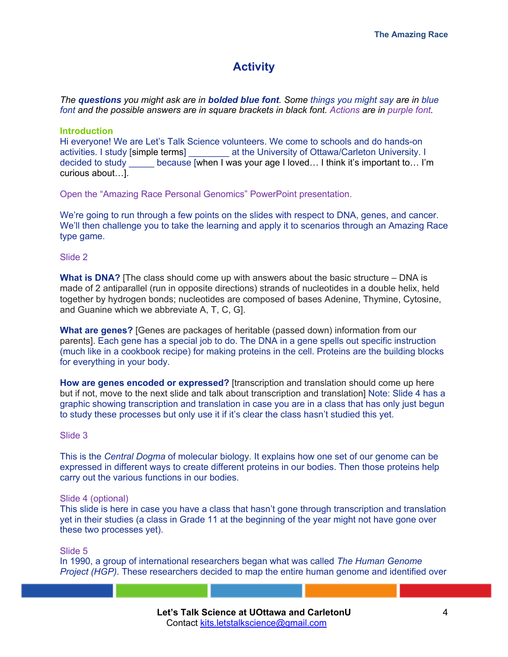# **Activity**

*The questions you might ask are in bolded blue font. Some things you might say are in blue font and the possible answers are in square brackets in black font. Actions are in purple font.*

## **Introduction**

Hi everyone! We are Let's Talk Science volunteers. We come to schools and do hands-on activities. I study [simple terms] \_\_\_\_\_\_\_\_ at the University of Ottawa/Carleton University. I decided to study because [when I was your age I loved... I think it's important to... I'm curious about…].

Open the "Amazing Race Personal Genomics" PowerPoint presentation.

We're going to run through a few points on the slides with respect to DNA, genes, and cancer. We'll then challenge you to take the learning and apply it to scenarios through an Amazing Race type game.

Slide 2

**What is DNA?** [The class should come up with answers about the basic structure – DNA is made of 2 antiparallel (run in opposite directions) strands of nucleotides in a double helix, held together by hydrogen bonds; nucleotides are composed of bases Adenine, Thymine, Cytosine, and Guanine which we abbreviate A, T, C, G].

**What are genes?** [Genes are packages of heritable (passed down) information from our parents]. Each gene has a special job to do. The DNA in a gene spells out specific instruction (much like in a cookbook recipe) for making proteins in the cell. Proteins are the building blocks for everything in your body.

**How are genes encoded or expressed?** [transcription and translation should come up here but if not, move to the next slide and talk about transcription and translation] Note: Slide 4 has a graphic showing transcription and translation in case you are in a class that has only just begun to study these processes but only use it if it's clear the class hasn't studied this yet.

#### Slide 3

This is the *Central Dogma* of molecular biology. It explains how one set of our genome can be expressed in different ways to create different proteins in our bodies. Then those proteins help carry out the various functions in our bodies.

#### Slide 4 (optional)

This slide is here in case you have a class that hasn't gone through transcription and translation yet in their studies (a class in Grade 11 at the beginning of the year might not have gone over these two processes yet).

Slide 5

In 1990, a group of international researchers began what was called *The Human Genome Project (HGP)*. These researchers decided to map the entire human genome and identified over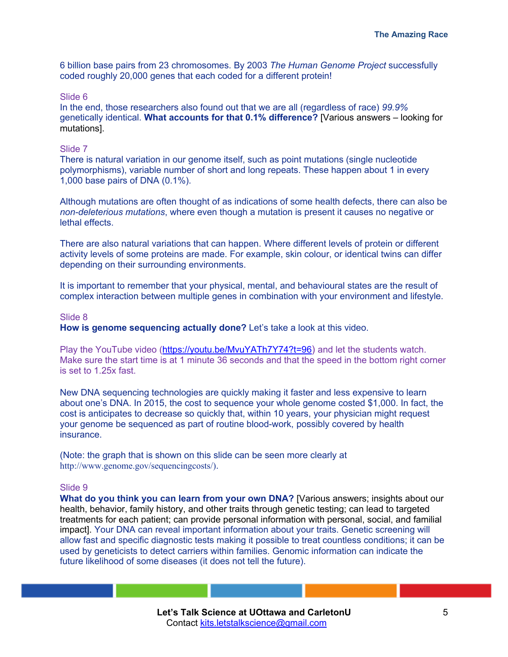6 billion base pairs from 23 chromosomes. By 2003 *The Human Genome Project* successfully coded roughly 20,000 genes that each coded for a different protein!

#### Slide 6

In the end, those researchers also found out that we are all (regardless of race) *99.9%*  genetically identical. **What accounts for that 0.1% difference?** [Various answers – looking for mutations].

## Slide 7

There is natural variation in our genome itself, such as point mutations (single nucleotide polymorphisms), variable number of short and long repeats. These happen about 1 in every 1,000 base pairs of DNA (0.1%).

Although mutations are often thought of as indications of some health defects, there can also be *non-deleterious mutations*, where even though a mutation is present it causes no negative or lethal effects.

There are also natural variations that can happen. Where different levels of protein or different activity levels of some proteins are made. For example, skin colour, or identical twins can differ depending on their surrounding environments.

It is important to remember that your physical, mental, and behavioural states are the result of complex interaction between multiple genes in combination with your environment and lifestyle.

#### Slide 8

**How is genome sequencing actually done?** Let's take a look at this video.

Play the YouTube video (https://youtu.be/MvuYATh7Y74?t=96) and let the students watch. Make sure the start time is at 1 minute 36 seconds and that the speed in the bottom right corner is set to 1.25x fast.

New DNA sequencing technologies are quickly making it faster and less expensive to learn about one's DNA. In 2015, the cost to sequence your whole genome costed \$1,000. In fact, the cost is anticipates to decrease so quickly that, within 10 years, your physician might request your genome be sequenced as part of routine blood-work, possibly covered by health insurance.

(Note: the graph that is shown on this slide can be seen more clearly at http://www.genome.gov/sequencingcosts/).

#### Slide 9

**What do you think you can learn from your own DNA?** [Various answers; insights about our health, behavior, family history, and other traits through genetic testing; can lead to targeted treatments for each patient; can provide personal information with personal, social, and familial impact]. Your DNA can reveal important information about your traits. Genetic screening will allow fast and specific diagnostic tests making it possible to treat countless conditions; it can be used by geneticists to detect carriers within families. Genomic information can indicate the future likelihood of some diseases (it does not tell the future).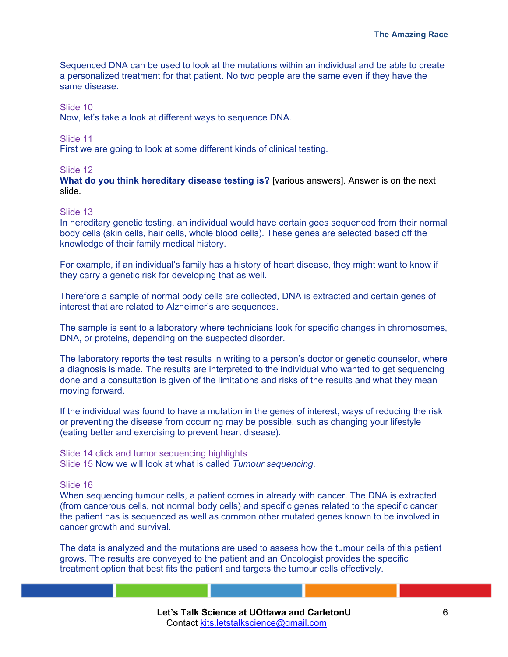Sequenced DNA can be used to look at the mutations within an individual and be able to create a personalized treatment for that patient. No two people are the same even if they have the same disease.

### Slide 10

Now, let's take a look at different ways to sequence DNA.

### Slide 11

First we are going to look at some different kinds of clinical testing.

### Slide 12

**What do you think hereditary disease testing is?** [various answers]. Answer is on the next slide.

### Slide 13

In hereditary genetic testing, an individual would have certain gees sequenced from their normal body cells (skin cells, hair cells, whole blood cells). These genes are selected based off the knowledge of their family medical history.

For example, if an individual's family has a history of heart disease, they might want to know if they carry a genetic risk for developing that as well.

Therefore a sample of normal body cells are collected, DNA is extracted and certain genes of interest that are related to Alzheimer's are sequences.

The sample is sent to a laboratory where technicians look for specific changes in chromosomes, DNA, or proteins, depending on the suspected disorder.

The laboratory reports the test results in writing to a person's doctor or genetic counselor, where a diagnosis is made. The results are interpreted to the individual who wanted to get sequencing done and a consultation is given of the limitations and risks of the results and what they mean moving forward.

If the individual was found to have a mutation in the genes of interest, ways of reducing the risk or preventing the disease from occurring may be possible, such as changing your lifestyle (eating better and exercising to prevent heart disease).

Slide 14 click and tumor sequencing highlights Slide 15 Now we will look at what is called *Tumour sequencing*.

# Slide 16

When sequencing tumour cells, a patient comes in already with cancer. The DNA is extracted (from cancerous cells, not normal body cells) and specific genes related to the specific cancer the patient has is sequenced as well as common other mutated genes known to be involved in cancer growth and survival.

The data is analyzed and the mutations are used to assess how the tumour cells of this patient grows. The results are conveyed to the patient and an Oncologist provides the specific treatment option that best fits the patient and targets the tumour cells effectively.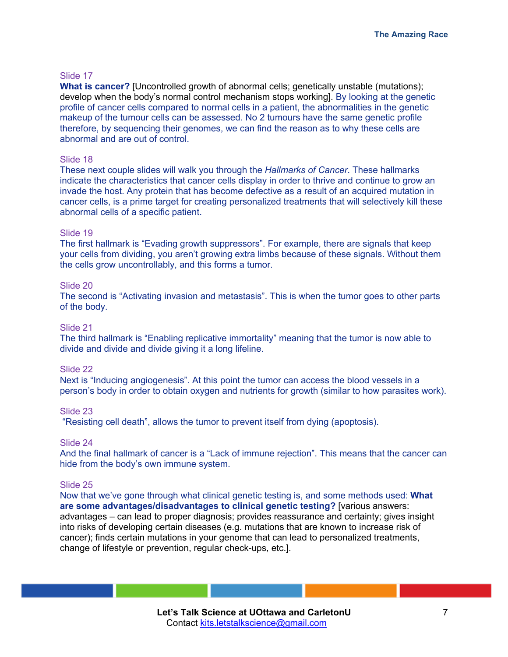## Slide 17

**What is cancer?** [Uncontrolled growth of abnormal cells; genetically unstable (mutations); develop when the body's normal control mechanism stops working]. By looking at the genetic profile of cancer cells compared to normal cells in a patient, the abnormalities in the genetic makeup of the tumour cells can be assessed. No 2 tumours have the same genetic profile therefore, by sequencing their genomes, we can find the reason as to why these cells are abnormal and are out of control.

#### Slide 18

These next couple slides will walk you through the *Hallmarks of Cancer*. These hallmarks indicate the characteristics that cancer cells display in order to thrive and continue to grow an invade the host. Any protein that has become defective as a result of an acquired mutation in cancer cells, is a prime target for creating personalized treatments that will selectively kill these abnormal cells of a specific patient.

### Slide 19

The first hallmark is "Evading growth suppressors". For example, there are signals that keep your cells from dividing, you aren't growing extra limbs because of these signals. Without them the cells grow uncontrollably, and this forms a tumor.

### Slide 20

The second is "Activating invasion and metastasis". This is when the tumor goes to other parts of the body.

#### Slide 21

The third hallmark is "Enabling replicative immortality" meaning that the tumor is now able to divide and divide and divide giving it a long lifeline.

#### Slide 22

Next is "Inducing angiogenesis". At this point the tumor can access the blood vessels in a person's body in order to obtain oxygen and nutrients for growth (similar to how parasites work).

#### Slide 23

"Resisting cell death", allows the tumor to prevent itself from dying (apoptosis).

## Slide 24

And the final hallmark of cancer is a "Lack of immune rejection". This means that the cancer can hide from the body's own immune system.

#### Slide 25

Now that we've gone through what clinical genetic testing is, and some methods used: **What are some advantages/disadvantages to clinical genetic testing?** [various answers: advantages – can lead to proper diagnosis; provides reassurance and certainty; gives insight into risks of developing certain diseases (e.g. mutations that are known to increase risk of cancer); finds certain mutations in your genome that can lead to personalized treatments, change of lifestyle or prevention, regular check-ups, etc.].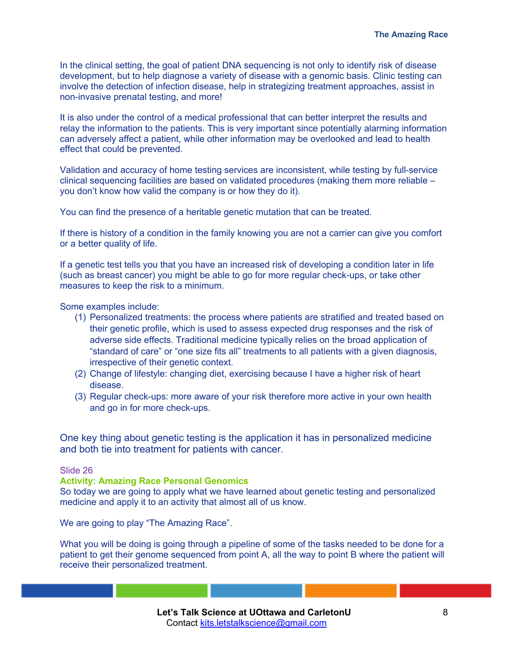In the clinical setting, the goal of patient DNA sequencing is not only to identify risk of disease development, but to help diagnose a variety of disease with a genomic basis. Clinic testing can involve the detection of infection disease, help in strategizing treatment approaches, assist in non-invasive prenatal testing, and more!

It is also under the control of a medical professional that can better interpret the results and relay the information to the patients. This is very important since potentially alarming information can adversely affect a patient, while other information may be overlooked and lead to health effect that could be prevented.

Validation and accuracy of home testing services are inconsistent, while testing by full-service clinical sequencing facilities are based on validated procedures (making them more reliable – you don't know how valid the company is or how they do it).

You can find the presence of a heritable genetic mutation that can be treated.

If there is history of a condition in the family knowing you are not a carrier can give you comfort or a better quality of life.

If a genetic test tells you that you have an increased risk of developing a condition later in life (such as breast cancer) you might be able to go for more regular check-ups, or take other measures to keep the risk to a minimum.

Some examples include:

- (1) Personalized treatments: the process where patients are stratified and treated based on their genetic profile, which is used to assess expected drug responses and the risk of adverse side effects. Traditional medicine typically relies on the broad application of "standard of care" or "one size fits all" treatments to all patients with a given diagnosis, irrespective of their genetic context.
- (2) Change of lifestyle: changing diet, exercising because I have a higher risk of heart disease.
- (3) Regular check-ups: more aware of your risk therefore more active in your own health and go in for more check-ups.

One key thing about genetic testing is the application it has in personalized medicine and both tie into treatment for patients with cancer.

## Slide 26

#### **Activity: Amazing Race Personal Genomics**

So today we are going to apply what we have learned about genetic testing and personalized medicine and apply it to an activity that almost all of us know.

We are going to play "The Amazing Race".

What you will be doing is going through a pipeline of some of the tasks needed to be done for a patient to get their genome sequenced from point A, all the way to point B where the patient will receive their personalized treatment.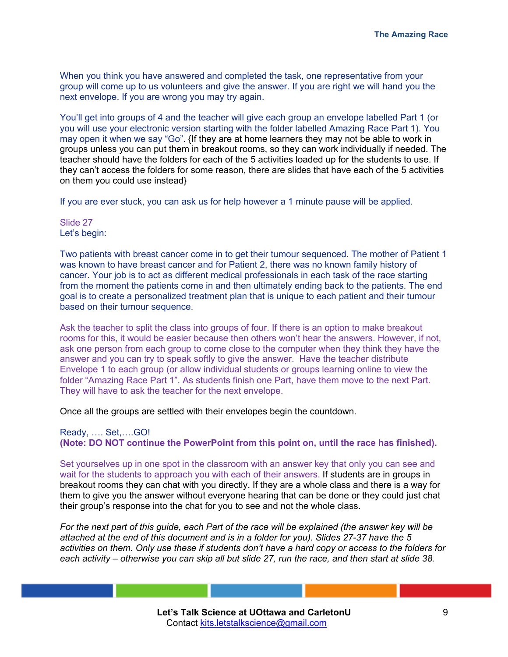When you think you have answered and completed the task, one representative from your group will come up to us volunteers and give the answer. If you are right we will hand you the next envelope. If you are wrong you may try again.

You'll get into groups of 4 and the teacher will give each group an envelope labelled Part 1 (or you will use your electronic version starting with the folder labelled Amazing Race Part 1). You may open it when we say "Go". {If they are at home learners they may not be able to work in groups unless you can put them in breakout rooms, so they can work individually if needed. The teacher should have the folders for each of the 5 activities loaded up for the students to use. If they can't access the folders for some reason, there are slides that have each of the 5 activities on them you could use instead}

If you are ever stuck, you can ask us for help however a 1 minute pause will be applied.

Slide 27 Let's begin:

Two patients with breast cancer come in to get their tumour sequenced. The mother of Patient 1 was known to have breast cancer and for Patient 2, there was no known family history of cancer. Your job is to act as different medical professionals in each task of the race starting from the moment the patients come in and then ultimately ending back to the patients. The end goal is to create a personalized treatment plan that is unique to each patient and their tumour based on their tumour sequence.

Ask the teacher to split the class into groups of four. If there is an option to make breakout rooms for this, it would be easier because then others won't hear the answers. However, if not, ask one person from each group to come close to the computer when they think they have the answer and you can try to speak softly to give the answer. Have the teacher distribute Envelope 1 to each group (or allow individual students or groups learning online to view the folder "Amazing Race Part 1". As students finish one Part, have them move to the next Part. They will have to ask the teacher for the next envelope.

Once all the groups are settled with their envelopes begin the countdown.

Ready, …. Set,….GO!

**(Note: DO NOT continue the PowerPoint from this point on, until the race has finished).**

Set yourselves up in one spot in the classroom with an answer key that only you can see and wait for the students to approach you with each of their answers. If students are in groups in breakout rooms they can chat with you directly. If they are a whole class and there is a way for them to give you the answer without everyone hearing that can be done or they could just chat their group's response into the chat for you to see and not the whole class.

*For the next part of this guide, each Part of the race will be explained (the answer key will be attached at the end of this document and is in a folder for you). Slides 27-37 have the 5 activities on them. Only use these if students don't have a hard copy or access to the folders for each activity – otherwise you can skip all but slide 27, run the race, and then start at slide 38.*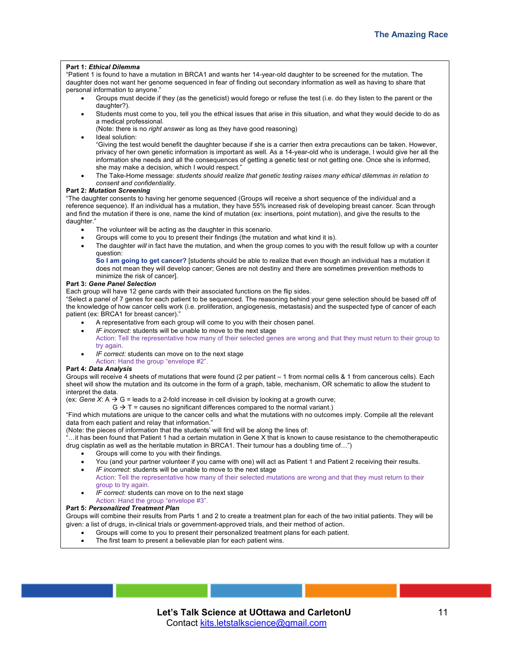#### **Part 1:** *Ethical Dilemma*

"Patient 1 is found to have a mutation in BRCA1 and wants her 14-year-old daughter to be screened for the mutation. The daughter does not want her genome sequenced in fear of finding out secondary information as well as having to share that personal information to anyone."

- Groups must decide if they (as the geneticist) would forego or refuse the test (i.e. do they listen to the parent or the daughter?).
- Students must come to you, tell you the ethical issues that arise in this situation, and what they would decide to do as a medical professional.

(Note: there is no *right answer* as long as they have good reasoning)

Ideal solution:

"Giving the test would benefit the daughter because if she is a carrier then extra precautions can be taken. However, privacy of her own genetic information is important as well. As a 14-year-old who is underage, I would give her all the information she needs and all the consequences of getting a genetic test or not getting one. Once she is informed, she may make a decision, which I would respect."

• The Take-Home message: *students should realize that genetic testing raises many ethical dilemmas in relation to consent and confidentiality*.

#### **Part 2:** *Mutation Screening*

"The daughter consents to having her genome sequenced (Groups will receive a short sequence of the individual and a reference sequence). If an individual has a mutation, they have 55% increased risk of developing breast cancer. Scan through and find the mutation if there is one, name the kind of mutation (ex: insertions, point mutation), and give the results to the daughter."

- The volunteer will be acting as the daughter in this scenario.
- Groups will come to you to present their findings (the mutation and what kind it is).
- The daughter will in fact have the mutation, and when the group comes to you with the result follow up with a counter question:

**So I am going to get cancer?** [students should be able to realize that even though an individual has a mutation it does not mean they will develop cancer; Genes are not destiny and there are sometimes prevention methods to minimize the risk of cancer].

#### **Part 3:** *Gene Panel Selection*

Each group will have 12 gene cards with their associated functions on the flip sides.

"Select a panel of 7 genes for each patient to be sequenced. The reasoning behind your gene selection should be based off of the knowledge of how cancer cells work (i.e. proliferation, angiogenesis, metastasis) and the suspected type of cancer of each patient (ex: BRCA1 for breast cancer)."

- A representative from each group will come to you with their chosen panel.
- *IF incorrect*: students will be unable to move to the next stage
- Action: Tell the representative how many of their selected genes are wrong and that they must return to their group to try again.
- *IF correct:* students can move on to the next stage
- Action: Hand the group "envelope #2".

#### **Part 4:** *Data Analysis*

Groups will receive 4 sheets of mutations that were found (2 per patient – 1 from normal cells & 1 from cancerous cells). Each sheet will show the mutation and its outcome in the form of a graph, table, mechanism, OR schematic to allow the student to interpret the data.

- (ex: *Gene X*:  $A \rightarrow G$  = leads to a 2-fold increase in cell division by looking at a growth curve;
	- $G \rightarrow T$  = causes no significant differences compared to the normal variant.)

"Find which mutations are unique to the cancer cells and what the mutations with no outcomes imply. Compile all the relevant data from each patient and relay that information."

(Note: the pieces of information that the students' will find will be along the lines of:

..it has been found that Patient 1 had a certain mutation in Gene X that is known to cause resistance to the chemotherapeutic drug cisplatin as well as the heritable mutation in BRCA1. Their tumour has a doubling time of…")

- Groups will come to you with their findings.
- You (and your partner volunteer if you came with one) will act as Patient 1 and Patient 2 receiving their results.
- *IF incorrect*: students will be unable to move to the next stage
- Action: Tell the representative how many of their selected mutations are wrong and that they must return to their group to try again.
- IF correct: students can move on to the next stage
- Action: Hand the group "envelope #3".

#### **Part 5:** *Personalized Treatment Plan*

Groups will combine their results from Parts 1 and 2 to create a treatment plan for each of the two initial patients. They will be given: a list of drugs, in-clinical trials or government-approved trials, and their method of action.

- Groups will come to you to present their personalized treatment plans for each patient.
- The first team to present a believable plan for each patient wins.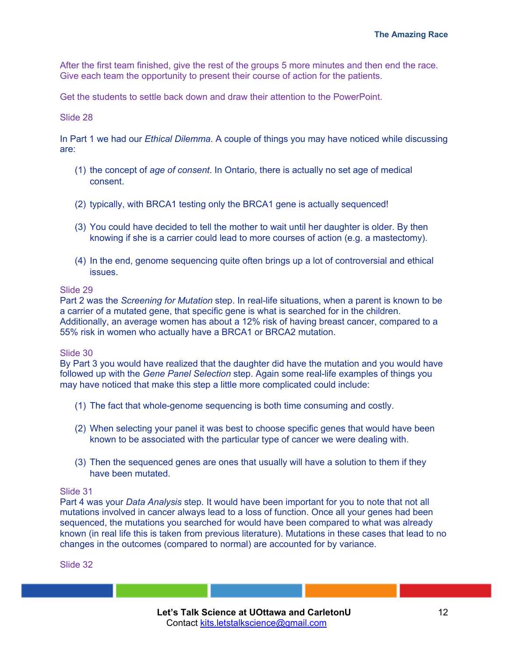After the first team finished, give the rest of the groups 5 more minutes and then end the race. Give each team the opportunity to present their course of action for the patients.

Get the students to settle back down and draw their attention to the PowerPoint.

# Slide 28

In Part 1 we had our *Ethical Dilemma*. A couple of things you may have noticed while discussing are:

- (1) the concept of *age of consent*. In Ontario, there is actually no set age of medical consent.
- (2) typically, with BRCA1 testing only the BRCA1 gene is actually sequenced!
- (3) You could have decided to tell the mother to wait until her daughter is older. By then knowing if she is a carrier could lead to more courses of action (e.g. a mastectomy).
- (4) In the end, genome sequencing quite often brings up a lot of controversial and ethical issues.

### Slide 29

Part 2 was the *Screening for Mutation* step. In real-life situations, when a parent is known to be a carrier of a mutated gene, that specific gene is what is searched for in the children. Additionally, an average women has about a 12% risk of having breast cancer, compared to a 55% risk in women who actually have a BRCA1 or BRCA2 mutation.

# Slide 30

By Part 3 you would have realized that the daughter did have the mutation and you would have followed up with the *Gene Panel Selection* step. Again some real-life examples of things you may have noticed that make this step a little more complicated could include:

- (1) The fact that whole-genome sequencing is both time consuming and costly.
- (2) When selecting your panel it was best to choose specific genes that would have been known to be associated with the particular type of cancer we were dealing with.
- (3) Then the sequenced genes are ones that usually will have a solution to them if they have been mutated.

# Slide 31

Part 4 was your *Data Analysis* step. It would have been important for you to note that not all mutations involved in cancer always lead to a loss of function. Once all your genes had been sequenced, the mutations you searched for would have been compared to what was already known (in real life this is taken from previous literature). Mutations in these cases that lead to no changes in the outcomes (compared to normal) are accounted for by variance.

Slide 32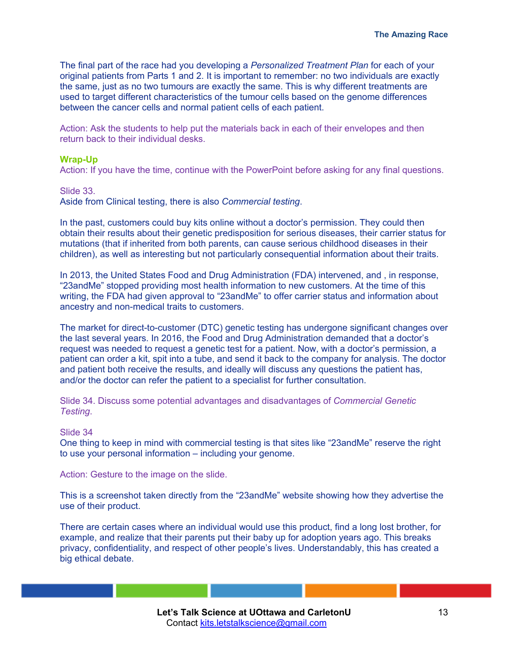The final part of the race had you developing a *Personalized Treatment Plan* for each of your original patients from Parts 1 and 2. It is important to remember: no two individuals are exactly the same, just as no two tumours are exactly the same. This is why different treatments are used to target different characteristics of the tumour cells based on the genome differences between the cancer cells and normal patient cells of each patient.

Action: Ask the students to help put the materials back in each of their envelopes and then return back to their individual desks.

## **Wrap-Up**

Action: If you have the time, continue with the PowerPoint before asking for any final questions.

Slide 33.

Aside from Clinical testing, there is also *Commercial testing*.

In the past, customers could buy kits online without a doctor's permission. They could then obtain their results about their genetic predisposition for serious diseases, their carrier status for mutations (that if inherited from both parents, can cause serious childhood diseases in their children), as well as interesting but not particularly consequential information about their traits.

In 2013, the United States Food and Drug Administration (FDA) intervened, and , in response, "23andMe" stopped providing most health information to new customers. At the time of this writing, the FDA had given approval to "23andMe" to offer carrier status and information about ancestry and non-medical traits to customers.

The market for direct-to-customer (DTC) genetic testing has undergone significant changes over the last several years. In 2016, the Food and Drug Administration demanded that a doctor's request was needed to request a genetic test for a patient. Now, with a doctor's permission, a patient can order a kit, spit into a tube, and send it back to the company for analysis. The doctor and patient both receive the results, and ideally will discuss any questions the patient has, and/or the doctor can refer the patient to a specialist for further consultation.

Slide 34. Discuss some potential advantages and disadvantages of *Commercial Genetic Testing*.

# Slide 34

One thing to keep in mind with commercial testing is that sites like "23andMe" reserve the right to use your personal information – including your genome.

Action: Gesture to the image on the slide.

This is a screenshot taken directly from the "23andMe" website showing how they advertise the use of their product.

There are certain cases where an individual would use this product, find a long lost brother, for example, and realize that their parents put their baby up for adoption years ago. This breaks privacy, confidentiality, and respect of other people's lives. Understandably, this has created a big ethical debate.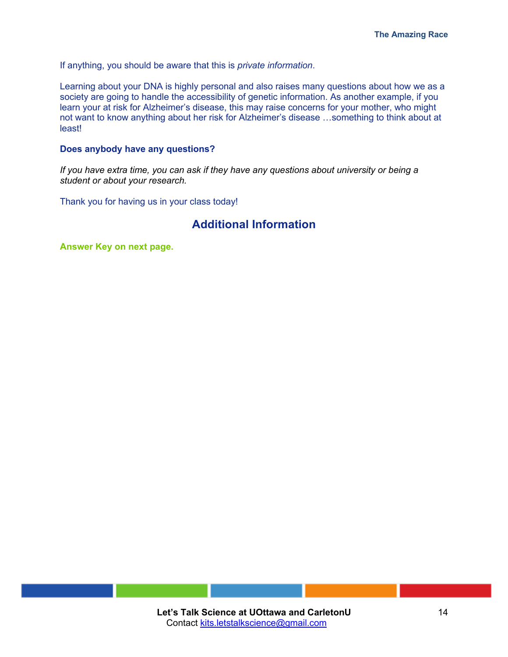If anything, you should be aware that this is *private information*.

Learning about your DNA is highly personal and also raises many questions about how we as a society are going to handle the accessibility of genetic information. As another example, if you learn your at risk for Alzheimer's disease, this may raise concerns for your mother, who might not want to know anything about her risk for Alzheimer's disease …something to think about at least!

### **Does anybody have any questions?**

*If you have extra time, you can ask if they have any questions about university or being a student or about your research.* 

Thank you for having us in your class today!

# **Additional Information**

**Answer Key on next page.**